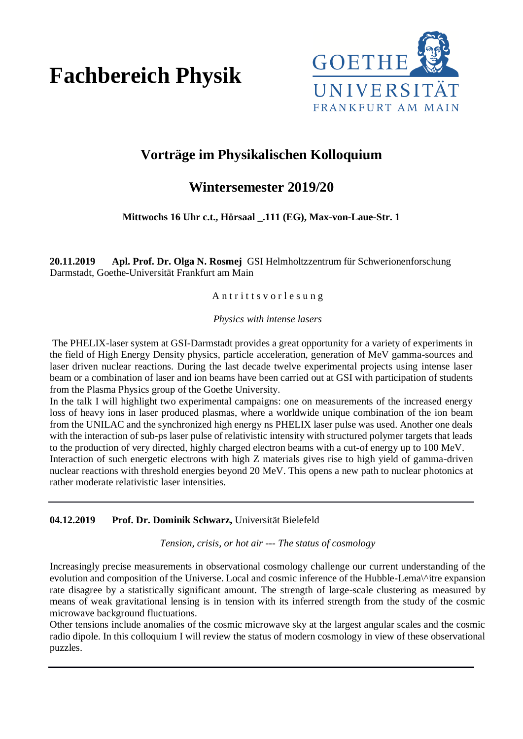# **Fachbereich Physik**



## **Vorträge im Physikalischen Kolloquium**

### **Wintersemester 2019/20**

**Mittwochs 16 Uhr c.t., Hörsaal \_.111 (EG), Max-von-Laue-Str. 1**

**20.11.2019 Apl. Prof. Dr. Olga N. Rosmej** GSI Helmholtzzentrum für Schwerionenforschung Darmstadt, Goethe-Universität Frankfurt am Main

#### Antritts vor les ung

*Physics with intense lasers*

The PHELIX-laser system at GSI-Darmstadt provides a great opportunity for a variety of experiments in the field of High Energy Density physics, particle acceleration, generation of MeV gamma-sources and laser driven nuclear reactions. During the last decade twelve experimental projects using intense laser beam or a combination of laser and ion beams have been carried out at GSI with participation of students from the Plasma Physics group of the Goethe University.

In the talk I will highlight two experimental campaigns: one on measurements of the increased energy loss of heavy ions in laser produced plasmas, where a worldwide unique combination of the ion beam from the UNILAC and the synchronized high energy ns PHELIX laser pulse was used. Another one deals with the interaction of sub-ps laser pulse of relativistic intensity with structured polymer targets that leads to the production of very directed, highly charged electron beams with a cut-of energy up to 100 MeV. Interaction of such energetic electrons with high Z materials gives rise to high yield of gamma-driven nuclear reactions with threshold energies beyond 20 MeV. This opens a new path to nuclear photonics at rather moderate relativistic laser intensities.

#### **04.12.2019 Prof. Dr. Dominik Schwarz,** Universität Bielefeld

*Tension, crisis, or hot air --- The status of cosmology*

Increasingly precise measurements in observational cosmology challenge our current understanding of the evolution and composition of the Universe. Local and cosmic inference of the Hubble-Lema\^itre expansion rate disagree by a statistically significant amount. The strength of large-scale clustering as measured by means of weak gravitational lensing is in tension with its inferred strength from the study of the cosmic microwave background fluctuations.

Other tensions include anomalies of the cosmic microwave sky at the largest angular scales and the cosmic radio dipole. In this colloquium I will review the status of modern cosmology in view of these observational puzzles.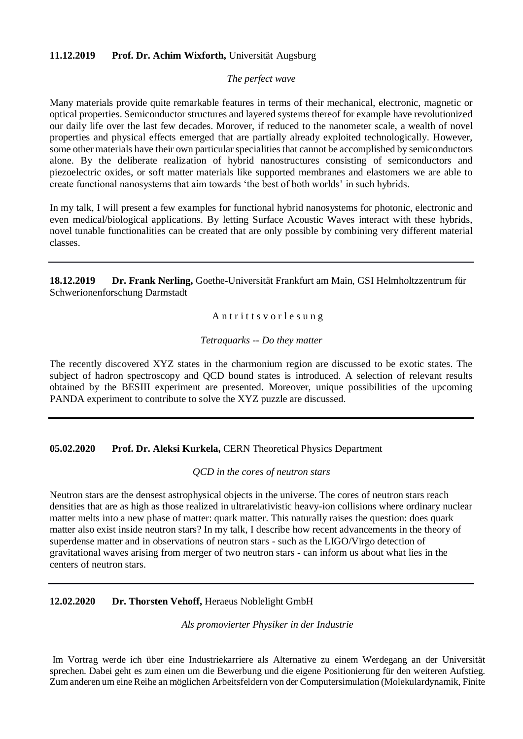#### **11.12.2019 Prof. Dr. Achim Wixforth,** Universität Augsburg

#### *The perfect wave*

Many materials provide quite remarkable features in terms of their mechanical, electronic, magnetic or optical properties. Semiconductor structures and layered systems thereof for example have revolutionized our daily life over the last few decades. Morover, if reduced to the nanometer scale, a wealth of novel properties and physical effects emerged that are partially already exploited technologically. However, some other materials have their own particular specialities that cannot be accomplished by semiconductors alone. By the deliberate realization of hybrid nanostructures consisting of semiconductors and piezoelectric oxides, or soft matter materials like supported membranes and elastomers we are able to create functional nanosystems that aim towards 'the best of both worlds' in such hybrids.

In my talk, I will present a few examples for functional hybrid nanosystems for photonic, electronic and even medical/biological applications. By letting Surface Acoustic Waves interact with these hybrids, novel tunable functionalities can be created that are only possible by combining very different material classes.

**18.12.2019 Dr. Frank Nerling,** Goethe-Universität Frankfurt am Main, GSI Helmholtzzentrum für Schwerionenforschung Darmstadt

Antritts vor lesung

#### *Tetraquarks -- Do they matter*

The recently discovered XYZ states in the charmonium region are discussed to be exotic states. The subject of hadron spectroscopy and QCD bound states is introduced. A selection of relevant results obtained by the BESIII experiment are presented. Moreover, unique possibilities of the upcoming PANDA experiment to contribute to solve the XYZ puzzle are discussed.

**05.02.2020 Prof. Dr. Aleksi Kurkela,** CERN Theoretical Physics Department

#### *QCD in the cores of neutron stars*

Neutron stars are the densest astrophysical objects in the universe. The cores of neutron stars reach densities that are as high as those realized in ultrarelativistic heavy-ion collisions where ordinary nuclear matter melts into a new phase of matter: quark matter. This naturally raises the question: does quark matter also exist inside neutron stars? In my talk, I describe how recent advancements in the theory of superdense matter and in observations of neutron stars - such as the LIGO/Virgo detection of gravitational waves arising from merger of two neutron stars - can inform us about what lies in the centers of neutron stars.

#### **12.02.2020 Dr. Thorsten Vehoff,** Heraeus Noblelight GmbH

*Als promovierter Physiker in der Industrie*

Im Vortrag werde ich über eine Industriekarriere als Alternative zu einem Werdegang an der Universität sprechen. Dabei geht es zum einen um die Bewerbung und die eigene Positionierung für den weiteren Aufstieg. Zum anderen um eine Reihe an möglichen Arbeitsfeldern von der Computersimulation (Molekulardynamik, Finite